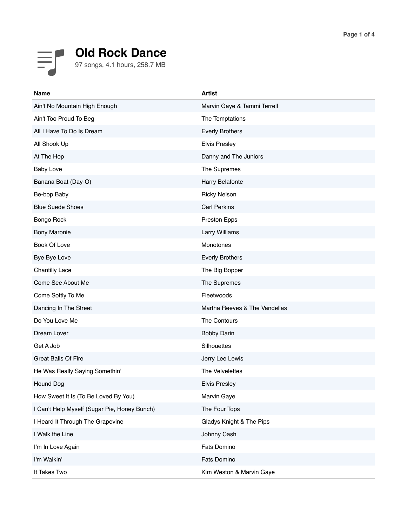## **Old Rock Dance** 97 songs, 4.1 hours, 258.7 MB

| <b>Name</b>                                  | <b>Artist</b>                 |
|----------------------------------------------|-------------------------------|
| Ain't No Mountain High Enough                | Marvin Gaye & Tammi Terrell   |
| Ain't Too Proud To Beg                       | The Temptations               |
| All I Have To Do Is Dream                    | <b>Everly Brothers</b>        |
| All Shook Up                                 | <b>Elvis Presley</b>          |
| At The Hop                                   | Danny and The Juniors         |
| <b>Baby Love</b>                             | The Supremes                  |
| Banana Boat (Day-O)                          | Harry Belafonte               |
| Be-bop Baby                                  | <b>Ricky Nelson</b>           |
| <b>Blue Suede Shoes</b>                      | <b>Carl Perkins</b>           |
| Bongo Rock                                   | Preston Epps                  |
| <b>Bony Maronie</b>                          | Larry Williams                |
| Book Of Love                                 | Monotones                     |
| Bye Bye Love                                 | <b>Everly Brothers</b>        |
| <b>Chantilly Lace</b>                        | The Big Bopper                |
| Come See About Me                            | The Supremes                  |
| Come Softly To Me                            | Fleetwoods                    |
| Dancing In The Street                        | Martha Reeves & The Vandellas |
| Do You Love Me                               | The Contours                  |
| Dream Lover                                  | <b>Bobby Darin</b>            |
| Get A Job                                    | Silhouettes                   |
| <b>Great Balls Of Fire</b>                   | Jerry Lee Lewis               |
| He Was Really Saying Somethin'               | The Velvelettes               |
| Hound Dog                                    | <b>Elvis Presley</b>          |
| How Sweet It Is (To Be Loved By You)         | Marvin Gaye                   |
| I Can't Help Myself (Sugar Pie, Honey Bunch) | The Four Tops                 |
| I Heard It Through The Grapevine             | Gladys Knight & The Pips      |
| I Walk the Line                              | Johnny Cash                   |
| I'm In Love Again                            | Fats Domino                   |
| I'm Walkin'                                  | Fats Domino                   |
| It Takes Two                                 | Kim Weston & Marvin Gaye      |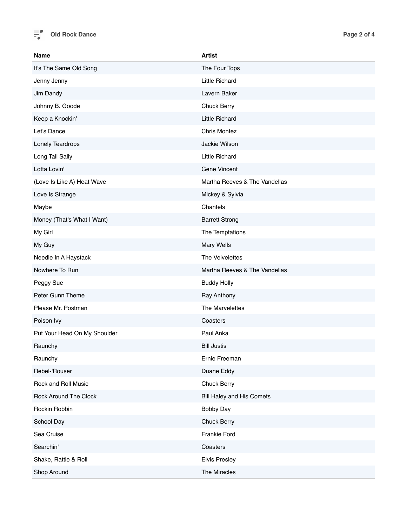

| <b>Name</b>                  | <b>Artist</b>                 |
|------------------------------|-------------------------------|
| It's The Same Old Song       | The Four Tops                 |
| Jenny Jenny                  | Little Richard                |
| Jim Dandy                    | Lavern Baker                  |
| Johnny B. Goode              | Chuck Berry                   |
| Keep a Knockin'              | <b>Little Richard</b>         |
| Let's Dance                  | <b>Chris Montez</b>           |
| Lonely Teardrops             | Jackie Wilson                 |
| Long Tall Sally              | Little Richard                |
| Lotta Lovin'                 | Gene Vincent                  |
| (Love Is Like A) Heat Wave   | Martha Reeves & The Vandellas |
| Love Is Strange              | Mickey & Sylvia               |
| Maybe                        | Chantels                      |
| Money (That's What I Want)   | <b>Barrett Strong</b>         |
| My Girl                      | The Temptations               |
| My Guy                       | Mary Wells                    |
| Needle In A Haystack         | The Velvelettes               |
| Nowhere To Run               | Martha Reeves & The Vandellas |
| Peggy Sue                    | <b>Buddy Holly</b>            |
| Peter Gunn Theme             | Ray Anthony                   |
| Please Mr. Postman           | The Marvelettes               |
| Poison Ivy                   | Coasters                      |
| Put Your Head On My Shoulder | Paul Anka                     |
| Raunchy                      | <b>Bill Justis</b>            |
| Raunchy                      | Ernie Freeman                 |
| Rebel-'Rouser                | Duane Eddy                    |
| Rock and Roll Music          | Chuck Berry                   |
| Rock Around The Clock        | Bill Haley and His Comets     |
| Rockin Robbin                | <b>Bobby Day</b>              |
| School Day                   | <b>Chuck Berry</b>            |
| Sea Cruise                   | Frankie Ford                  |
| Searchin'                    | Coasters                      |
| Shake, Rattle & Roll         | <b>Elvis Presley</b>          |
| Shop Around                  | The Miracles                  |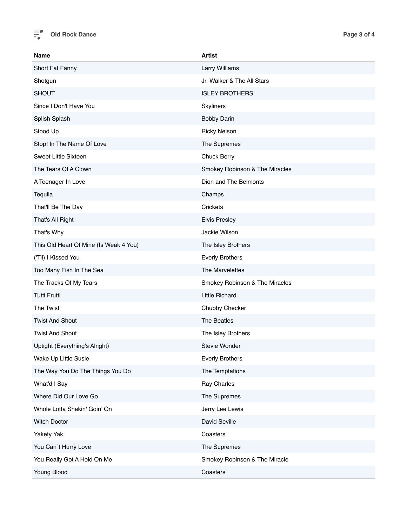

| <b>Name</b>                            | <b>Artist</b>                  |
|----------------------------------------|--------------------------------|
| Short Fat Fanny                        | Larry Williams                 |
| Shotgun                                | Jr. Walker & The All Stars     |
| <b>SHOUT</b>                           | <b>ISLEY BROTHERS</b>          |
| Since I Don't Have You                 | Skyliners                      |
| Splish Splash                          | <b>Bobby Darin</b>             |
| Stood Up                               | <b>Ricky Nelson</b>            |
| Stop! In The Name Of Love              | The Supremes                   |
| Sweet Little Sixteen                   | Chuck Berry                    |
| The Tears Of A Clown                   | Smokey Robinson & The Miracles |
| A Teenager In Love                     | Dion and The Belmonts          |
| Tequila                                | Champs                         |
| That'll Be The Day                     | Crickets                       |
| That's All Right                       | <b>Elvis Presley</b>           |
| That's Why                             | Jackie Wilson                  |
| This Old Heart Of Mine (Is Weak 4 You) | The Isley Brothers             |
| ('Til) I Kissed You                    | <b>Everly Brothers</b>         |
| Too Many Fish In The Sea               | The Marvelettes                |
| The Tracks Of My Tears                 | Smokey Robinson & The Miracles |
| <b>Tutti Frutti</b>                    | <b>Little Richard</b>          |
| The Twist                              | Chubby Checker                 |
| <b>Twist And Shout</b>                 | The Beatles                    |
| <b>Twist And Shout</b>                 | The Isley Brothers             |
| Uptight (Everything's Alright)         | Stevie Wonder                  |
| Wake Up Little Susie                   | <b>Everly Brothers</b>         |
| The Way You Do The Things You Do       | The Temptations                |
| What'd I Say                           | Ray Charles                    |
| Where Did Our Love Go                  | The Supremes                   |
| Whole Lotta Shakin' Goin' On           | Jerry Lee Lewis                |
| <b>Witch Doctor</b>                    | David Seville                  |
| Yakety Yak                             | Coasters                       |
| You Can't Hurry Love                   | The Supremes                   |
| You Really Got A Hold On Me            | Smokey Robinson & The Miracle  |
| Young Blood                            | Coasters                       |